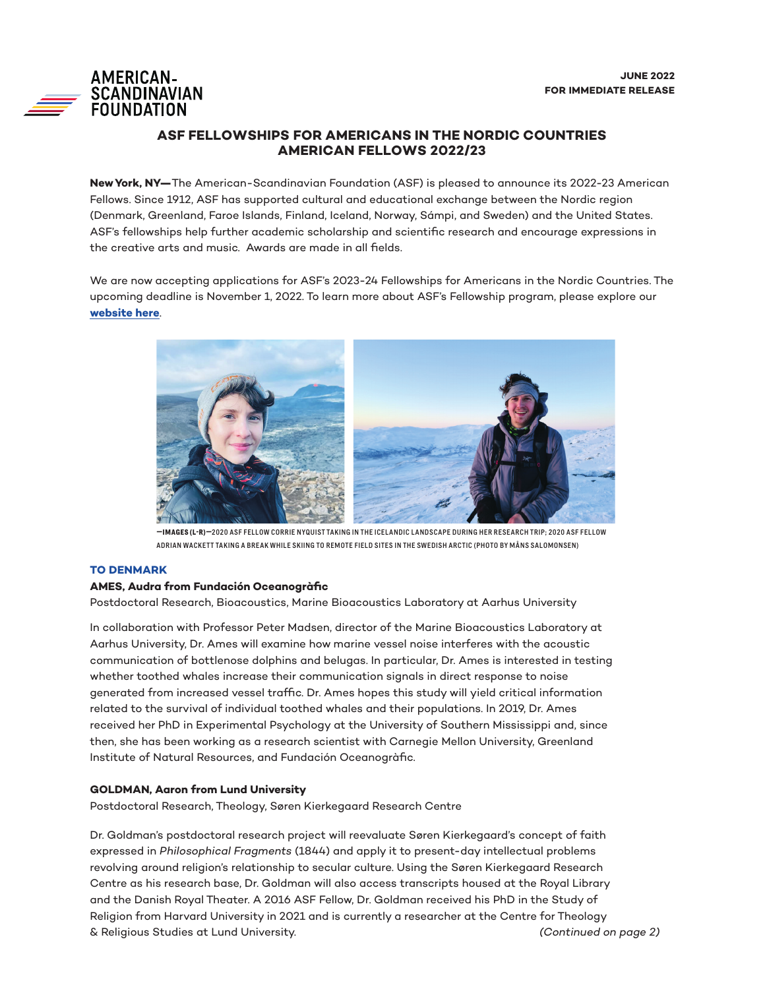# **AMERICAN-SCANDINAVIAN**<br>FOUNDATION

# **ASF FELLOWSHIPS FOR AMERICANS IN THE NORDIC COUNTRIES AMERICAN FELLOWS 2022/23**

**New York, NY—**The American-Scandinavian Foundation (ASF) is pleased to announce its 2022-23 American Fellows. Since 1912, ASF has supported cultural and educational exchange between the Nordic region (Denmark, Greenland, Faroe Islands, Finland, Iceland, Norway, Sámpi, and Sweden) and the United States. ASF's fellowships help further academic scholarship and scientific research and encourage expressions in the creative arts and music. Awards are made in all fields.

We are now accepting applications for ASF's 2023-24 Fellowships for Americans in the Nordic Countries. The upcoming deadline is November 1, 2022. To learn more about ASF's Fellowship program, please explore our **[website here](https://www.amscan.org/fellowships-grants/grants-and-awards-for-americans/)**.



**—IMAGES (L-R)—**2020 ASF FELLOW CORRIE NYQUIST TAKING IN THE ICELANDIC LANDSCAPE DURING HER RESEARCH TRIP; 2020 ASF FELLOW ADRIAN WACKETT TAKING A BREAK WHILE SKIING TO REMOTE FIELD SITES IN THE SWEDISH ARCTIC (PHOTO BY MÅNS SALOMONSEN)

# **TO DENMARK**

# **AMES, Audra from Fundación Oceanogràfic**

Postdoctoral Research, Bioacoustics, Marine Bioacoustics Laboratory at Aarhus University

In collaboration with Professor Peter Madsen, director of the Marine Bioacoustics Laboratory at Aarhus University, Dr. Ames will examine how marine vessel noise interferes with the acoustic communication of bottlenose dolphins and belugas. In particular, Dr. Ames is interested in testing whether toothed whales increase their communication signals in direct response to noise generated from increased vessel traffic. Dr. Ames hopes this study will yield critical information related to the survival of individual toothed whales and their populations. In 2019, Dr. Ames received her PhD in Experimental Psychology at the University of Southern Mississippi and, since then, she has been working as a research scientist with Carnegie Mellon University, Greenland Institute of Natural Resources, and Fundación Oceanogràfic.

# **GOLDMAN, Aaron from Lund University**

Postdoctoral Research, Theology, Søren Kierkegaard Research Centre

Dr. Goldman's postdoctoral research project will reevaluate Søren Kierkegaard's concept of faith expressed in *Philosophical Fragments* (1844) and apply it to present-day intellectual problems revolving around religion's relationship to secular culture. Using the Søren Kierkegaard Research Centre as his research base, Dr. Goldman will also access transcripts housed at the Royal Library and the Danish Royal Theater. A 2016 ASF Fellow, Dr. Goldman received his PhD in the Study of Religion from Harvard University in 2021 and is currently a researcher at the Centre for Theology & Religious Studies at Lund University. *(Continued on page 2)*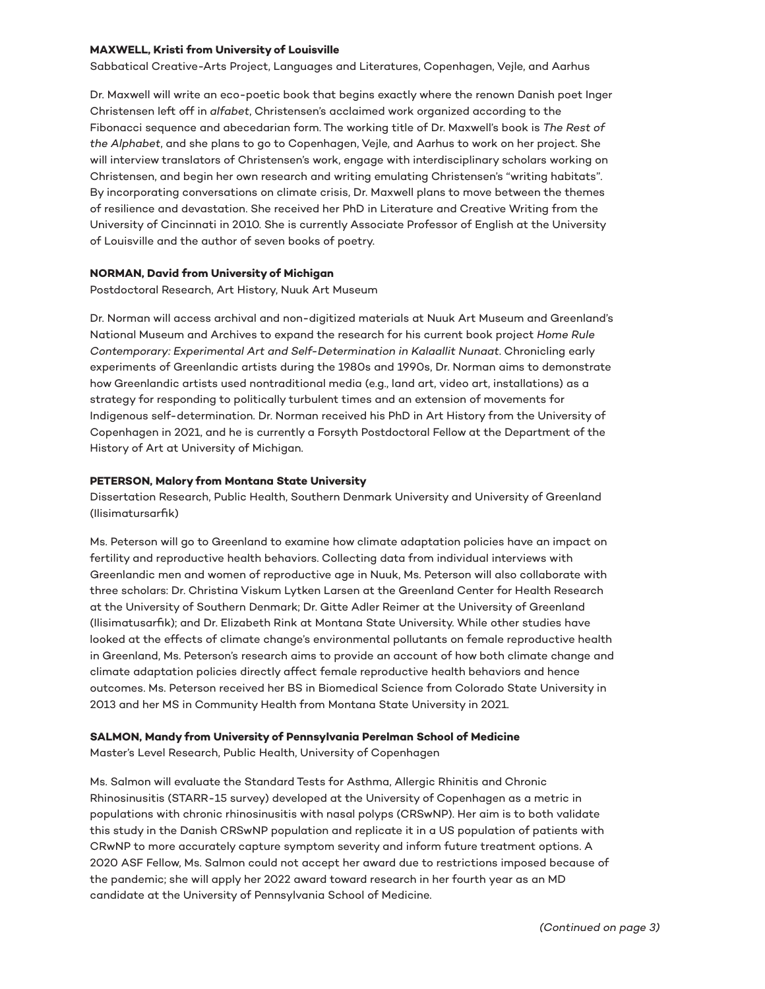#### **MAXWELL, Kristi from University of Louisville**

Sabbatical Creative-Arts Project, Languages and Literatures, Copenhagen, Vejle, and Aarhus

Dr. Maxwell will write an eco-poetic book that begins exactly where the renown Danish poet Inger Christensen left off in *alfabet*, Christensen's acclaimed work organized according to the Fibonacci sequence and abecedarian form. The working title of Dr. Maxwell's book is *The Rest of the Alphabet*, and she plans to go to Copenhagen, Vejle, and Aarhus to work on her project. She will interview translators of Christensen's work, engage with interdisciplinary scholars working on Christensen, and begin her own research and writing emulating Christensen's "writing habitats". By incorporating conversations on climate crisis, Dr. Maxwell plans to move between the themes of resilience and devastation. She received her PhD in Literature and Creative Writing from the University of Cincinnati in 2010. She is currently Associate Professor of English at the University of Louisville and the author of seven books of poetry.

#### **NORMAN, David from University of Michigan**

Postdoctoral Research, Art History, Nuuk Art Museum

Dr. Norman will access archival and non-digitized materials at Nuuk Art Museum and Greenland's National Museum and Archives to expand the research for his current book project *Home Rule Contemporary: Experimental Art and Self-Determination in Kalaallit Nunaat*. Chronicling early experiments of Greenlandic artists during the 1980s and 1990s, Dr. Norman aims to demonstrate how Greenlandic artists used nontraditional media (e.g., land art, video art, installations) as a strategy for responding to politically turbulent times and an extension of movements for Indigenous self-determination. Dr. Norman received his PhD in Art History from the University of Copenhagen in 2021, and he is currently a Forsyth Postdoctoral Fellow at the Department of the History of Art at University of Michigan.

#### **PETERSON, Malory from Montana State University**

Dissertation Research, Public Health, Southern Denmark University and University of Greenland (Ilisimatursarfik)

Ms. Peterson will go to Greenland to examine how climate adaptation policies have an impact on fertility and reproductive health behaviors. Collecting data from individual interviews with Greenlandic men and women of reproductive age in Nuuk, Ms. Peterson will also collaborate with three scholars: Dr. Christina Viskum Lytken Larsen at the Greenland Center for Health Research at the University of Southern Denmark; Dr. Gitte Adler Reimer at the University of Greenland (Ilisimatusarfik); and Dr. Elizabeth Rink at Montana State University. While other studies have looked at the effects of climate change's environmental pollutants on female reproductive health in Greenland, Ms. Peterson's research aims to provide an account of how both climate change and climate adaptation policies directly affect female reproductive health behaviors and hence outcomes. Ms. Peterson received her BS in Biomedical Science from Colorado State University in 2013 and her MS in Community Health from Montana State University in 2021.

#### **SALMON, Mandy from University of Pennsylvania Perelman School of Medicine**

Master's Level Research, Public Health, University of Copenhagen

Ms. Salmon will evaluate the Standard Tests for Asthma, Allergic Rhinitis and Chronic Rhinosinusitis (STARR-15 survey) developed at the University of Copenhagen as a metric in populations with chronic rhinosinusitis with nasal polyps (CRSwNP). Her aim is to both validate this study in the Danish CRSwNP population and replicate it in a US population of patients with CRwNP to more accurately capture symptom severity and inform future treatment options. A 2020 ASF Fellow, Ms. Salmon could not accept her award due to restrictions imposed because of the pandemic; she will apply her 2022 award toward research in her fourth year as an MD candidate at the University of Pennsylvania School of Medicine.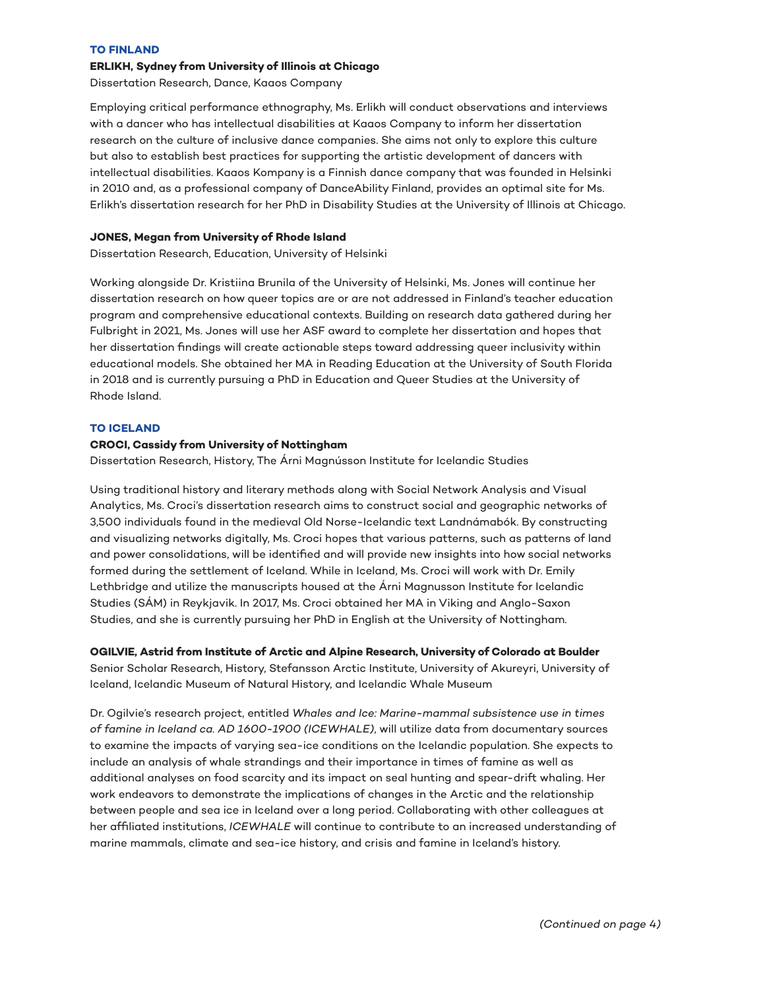#### **TO FINLAND**

# **ERLIKH, Sydney from University of Illinois at Chicago**

Dissertation Research, Dance, Kaaos Company

Employing critical performance ethnography, Ms. Erlikh will conduct observations and interviews with a dancer who has intellectual disabilities at Kaaos Company to inform her dissertation research on the culture of inclusive dance companies. She aims not only to explore this culture but also to establish best practices for supporting the artistic development of dancers with intellectual disabilities. Kaaos Kompany is a Finnish dance company that was founded in Helsinki in 2010 and, as a professional company of DanceAbility Finland, provides an optimal site for Ms. Erlikh's dissertation research for her PhD in Disability Studies at the University of Illinois at Chicago.

#### **JONES, Megan from University of Rhode Island**

Dissertation Research, Education, University of Helsinki

Working alongside Dr. Kristiina Brunila of the University of Helsinki, Ms. Jones will continue her dissertation research on how queer topics are or are not addressed in Finland's teacher education program and comprehensive educational contexts. Building on research data gathered during her Fulbright in 2021, Ms. Jones will use her ASF award to complete her dissertation and hopes that her dissertation findings will create actionable steps toward addressing queer inclusivity within educational models. She obtained her MA in Reading Education at the University of South Florida in 2018 and is currently pursuing a PhD in Education and Queer Studies at the University of Rhode Island.

## **TO ICELAND**

#### **CROCI, Cassidy from University of Nottingham**

Dissertation Research, History, The Árni Magnússon Institute for Icelandic Studies

Using traditional history and literary methods along with Social Network Analysis and Visual Analytics, Ms. Croci's dissertation research aims to construct social and geographic networks of 3,500 individuals found in the medieval Old Norse-Icelandic text Landnámabók. By constructing and visualizing networks digitally, Ms. Croci hopes that various patterns, such as patterns of land and power consolidations, will be identified and will provide new insights into how social networks formed during the settlement of Iceland. While in Iceland, Ms. Croci will work with Dr. Emily Lethbridge and utilize the manuscripts housed at the Árni Magnusson Institute for Icelandic Studies (SÁM) in Reykjavik. In 2017, Ms. Croci obtained her MA in Viking and Anglo-Saxon Studies, and she is currently pursuing her PhD in English at the University of Nottingham.

**OGILVIE, Astrid from Institute of Arctic and Alpine Research, University of Colorado at Boulder** Senior Scholar Research, History, Stefansson Arctic Institute, University of Akureyri, University of Iceland, Icelandic Museum of Natural History, and Icelandic Whale Museum

Dr. Ogilvie's research project, entitled *Whales and Ice: Marine-mammal subsistence use in times of famine in Iceland ca. AD 1600-1900 (ICEWHALE)*, will utilize data from documentary sources to examine the impacts of varying sea-ice conditions on the Icelandic population. She expects to include an analysis of whale strandings and their importance in times of famine as well as additional analyses on food scarcity and its impact on seal hunting and spear-drift whaling. Her work endeavors to demonstrate the implications of changes in the Arctic and the relationship between people and sea ice in Iceland over a long period. Collaborating with other colleagues at her affiliated institutions, *ICEWHALE* will continue to contribute to an increased understanding of marine mammals, climate and sea-ice history, and crisis and famine in Iceland's history.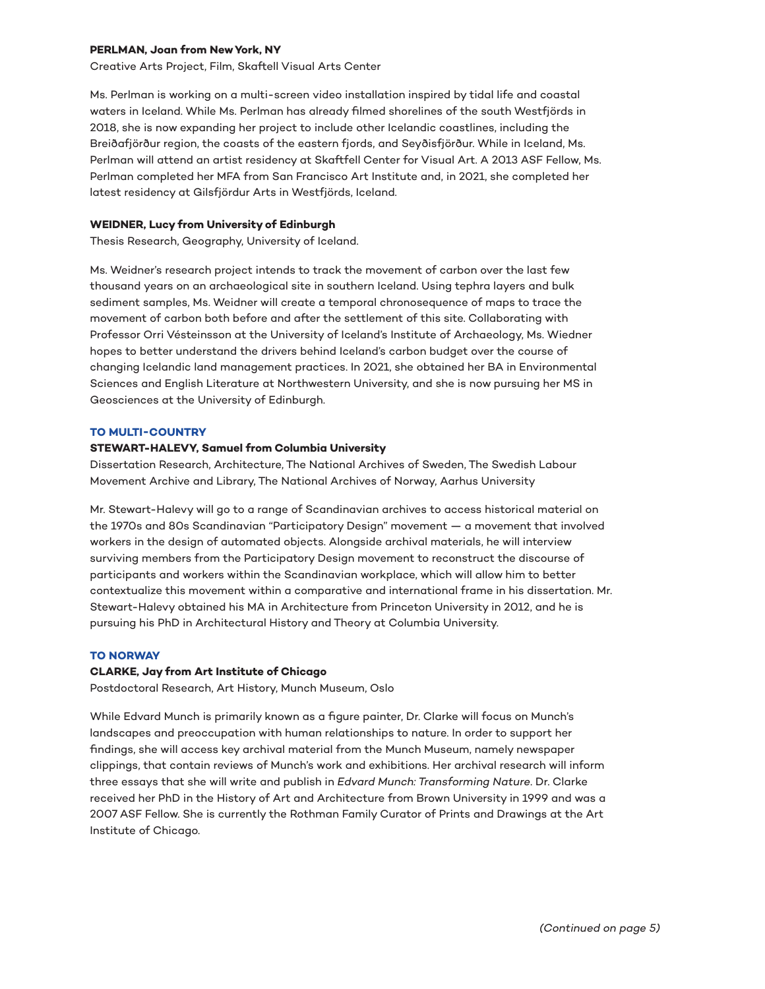#### **PERLMAN, Joan from New York, NY**

Creative Arts Project, Film, Skaftell Visual Arts Center

Ms. Perlman is working on a multi-screen video installation inspired by tidal life and coastal waters in Iceland. While Ms. Perlman has already filmed shorelines of the south Westfjörds in 2018, she is now expanding her project to include other Icelandic coastlines, including the Breiðafjörður region, the coasts of the eastern fjords, and Seyðisfjörður. While in Iceland, Ms. Perlman will attend an artist residency at Skaftfell Center for Visual Art. A 2013 ASF Fellow, Ms. Perlman completed her MFA from San Francisco Art Institute and, in 2021, she completed her latest residency at Gilsfjördur Arts in Westfjörds, Iceland.

#### **WEIDNER, Lucy from University of Edinburgh**

Thesis Research, Geography, University of Iceland.

Ms. Weidner's research project intends to track the movement of carbon over the last few thousand years on an archaeological site in southern Iceland. Using tephra layers and bulk sediment samples, Ms. Weidner will create a temporal chronosequence of maps to trace the movement of carbon both before and after the settlement of this site. Collaborating with Professor Orri Vésteinsson at the University of Iceland's Institute of Archaeology, Ms. Wiedner hopes to better understand the drivers behind Iceland's carbon budget over the course of changing Icelandic land management practices. In 2021, she obtained her BA in Environmental Sciences and English Literature at Northwestern University, and she is now pursuing her MS in Geosciences at the University of Edinburgh.

#### **TO MULTI-COUNTRY**

#### **STEWART-HALEVY, Samuel from Columbia University**

Dissertation Research, Architecture, The National Archives of Sweden, The Swedish Labour Movement Archive and Library, The National Archives of Norway, Aarhus University

Mr. Stewart-Halevy will go to a range of Scandinavian archives to access historical material on the 1970s and 80s Scandinavian "Participatory Design" movement — a movement that involved workers in the design of automated objects. Alongside archival materials, he will interview surviving members from the Participatory Design movement to reconstruct the discourse of participants and workers within the Scandinavian workplace, which will allow him to better contextualize this movement within a comparative and international frame in his dissertation. Mr. Stewart-Halevy obtained his MA in Architecture from Princeton University in 2012, and he is pursuing his PhD in Architectural History and Theory at Columbia University.

## **TO NORWAY**

## **CLARKE, Jay from Art Institute of Chicago**

Postdoctoral Research, Art History, Munch Museum, Oslo

While Edvard Munch is primarily known as a figure painter, Dr. Clarke will focus on Munch's landscapes and preoccupation with human relationships to nature. In order to support her findings, she will access key archival material from the Munch Museum, namely newspaper clippings, that contain reviews of Munch's work and exhibitions. Her archival research will inform three essays that she will write and publish in *Edvard Munch: Transforming Nature*. Dr. Clarke received her PhD in the History of Art and Architecture from Brown University in 1999 and was a 2007 ASF Fellow. She is currently the Rothman Family Curator of Prints and Drawings at the Art Institute of Chicago.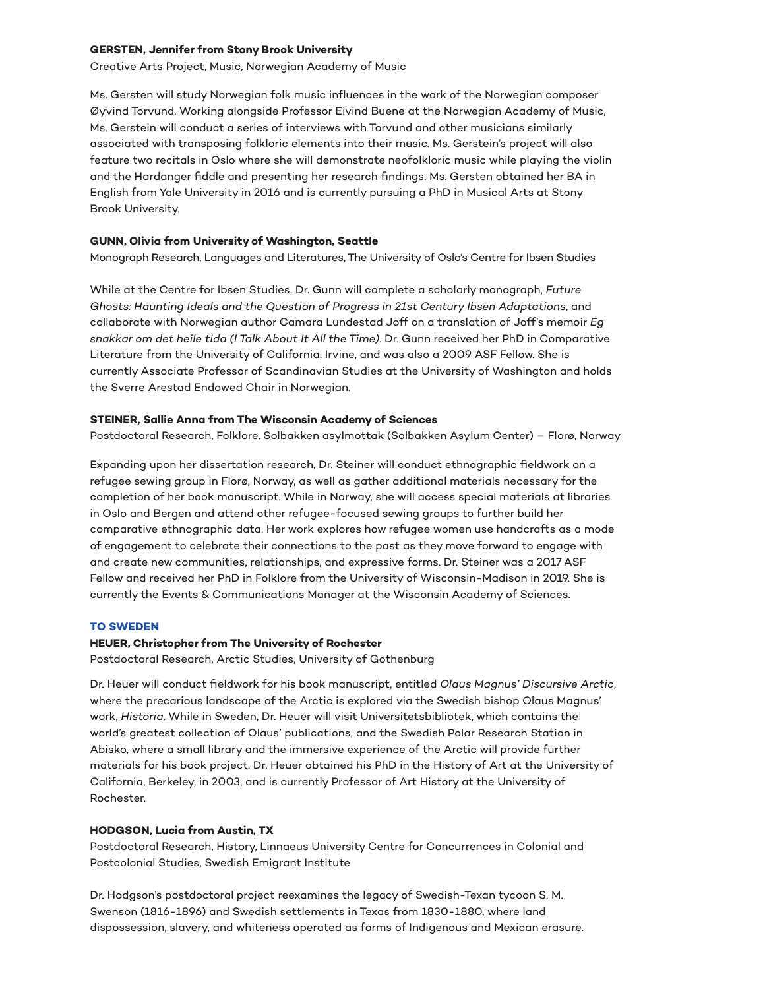#### **GERSTEN, Jennifer from Stony Brook University**

Creative Arts Project, Music, Norwegian Academy of Music

Ms. Gersten will study Norwegian folk music influences in the work of the Norwegian composer Øyvind Torvund. Working alongside Professor Eivind Buene at the Norwegian Academy of Music, Ms. Gerstein will conduct a series of interviews with Torvund and other musicians similarly associated with transposing folkloric elements into their music. Ms. Gerstein's project will also feature two recitals in Oslo where she will demonstrate neofolkloric music while playing the violin and the Hardanger fiddle and presenting her research findings. Ms. Gersten obtained her BA in English from Yale University in 2016 and is currently pursuing a PhD in Musical Arts at Stony Brook University.

#### **GUNN, Olivia from University of Washington, Seattle**

Monograph Research, Languages and Literatures, The University of Oslo's Centre for Ibsen Studies

While at the Centre for Ibsen Studies, Dr. Gunn will complete a scholarly monograph, *Future Ghosts: Haunting Ideals and the Question of Progress in 21st Century Ibsen Adaptations*, and collaborate with Norwegian author Camara Lundestad Joff on a translation of Joff's memoir *Eg snakkar om det heile tida (I Talk About It All the Time)*. Dr. Gunn received her PhD in Comparative Literature from the University of California, Irvine, and was also a 2009 ASF Fellow. She is currently Associate Professor of Scandinavian Studies at the University of Washington and holds the Sverre Arestad Endowed Chair in Norwegian.

## **STEINER, Sallie Anna from The Wisconsin Academy of Sciences**

Postdoctoral Research, Folklore, Solbakken asylmottak (Solbakken Asylum Center) – Florø, Norway

Expanding upon her dissertation research, Dr. Steiner will conduct ethnographic fieldwork on a refugee sewing group in Florø, Norway, as well as gather additional materials necessary for the completion of her book manuscript. While in Norway, she will access special materials at libraries in Oslo and Bergen and attend other refugee-focused sewing groups to further build her comparative ethnographic data. Her work explores how refugee women use handcrafts as a mode of engagement to celebrate their connections to the past as they move forward to engage with and create new communities, relationships, and expressive forms. Dr. Steiner was a 2017 ASF Fellow and received her PhD in Folklore from the University of Wisconsin-Madison in 2019. She is currently the Events & Communications Manager at the Wisconsin Academy of Sciences.

#### **TO SWEDEN**

#### **HEUER, Christopher from The University of Rochester**

Postdoctoral Research, Arctic Studies, University of Gothenburg

Dr. Heuer will conduct fieldwork for his book manuscript, entitled *Olaus Magnus' Discursive Arctic*, where the precarious landscape of the Arctic is explored via the Swedish bishop Olaus Magnus' work, *Historia*. While in Sweden, Dr. Heuer will visit Universitetsbibliotek, which contains the world's greatest collection of Olaus' publications, and the Swedish Polar Research Station in Abisko, where a small library and the immersive experience of the Arctic will provide further materials for his book project. Dr. Heuer obtained his PhD in the History of Art at the University of California, Berkeley, in 2003, and is currently Professor of Art History at the University of Rochester.

#### **HODGSON, Lucia from Austin, TX**

Postdoctoral Research, History, Linnaeus University Centre for Concurrences in Colonial and Postcolonial Studies, Swedish Emigrant Institute

Dr. Hodgson's postdoctoral project reexamines the legacy of Swedish-Texan tycoon S. M. Swenson (1816-1896) and Swedish settlements in Texas from 1830-1880, where land dispossession, slavery, and whiteness operated as forms of Indigenous and Mexican erasure.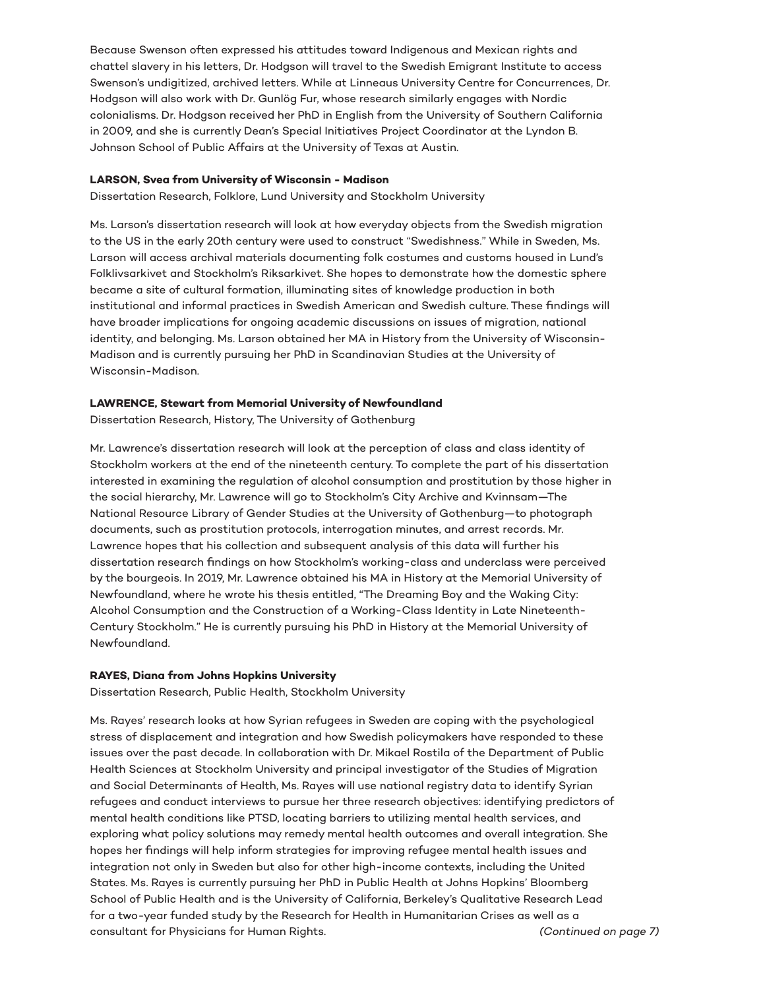Because Swenson often expressed his attitudes toward Indigenous and Mexican rights and chattel slavery in his letters, Dr. Hodgson will travel to the Swedish Emigrant Institute to access Swenson's undigitized, archived letters. While at Linneaus University Centre for Concurrences, Dr. Hodgson will also work with Dr. Gunlög Fur, whose research similarly engages with Nordic colonialisms. Dr. Hodgson received her PhD in English from the University of Southern California in 2009, and she is currently Dean's Special Initiatives Project Coordinator at the Lyndon B. Johnson School of Public Affairs at the University of Texas at Austin.

#### **LARSON, Svea from University of Wisconsin - Madison**

Dissertation Research, Folklore, Lund University and Stockholm University

Ms. Larson's dissertation research will look at how everyday objects from the Swedish migration to the US in the early 20th century were used to construct "Swedishness." While in Sweden, Ms. Larson will access archival materials documenting folk costumes and customs housed in Lund's Folklivsarkivet and Stockholm's Riksarkivet. She hopes to demonstrate how the domestic sphere became a site of cultural formation, illuminating sites of knowledge production in both institutional and informal practices in Swedish American and Swedish culture. These findings will have broader implications for ongoing academic discussions on issues of migration, national identity, and belonging. Ms. Larson obtained her MA in History from the University of Wisconsin-Madison and is currently pursuing her PhD in Scandinavian Studies at the University of Wisconsin-Madison.

#### **LAWRENCE, Stewart from Memorial University of Newfoundland**

Dissertation Research, History, The University of Gothenburg

Mr. Lawrence's dissertation research will look at the perception of class and class identity of Stockholm workers at the end of the nineteenth century. To complete the part of his dissertation interested in examining the regulation of alcohol consumption and prostitution by those higher in the social hierarchy, Mr. Lawrence will go to Stockholm's City Archive and Kvinnsam—The National Resource Library of Gender Studies at the University of Gothenburg—to photograph documents, such as prostitution protocols, interrogation minutes, and arrest records. Mr. Lawrence hopes that his collection and subsequent analysis of this data will further his dissertation research findings on how Stockholm's working-class and underclass were perceived by the bourgeois. In 2019, Mr. Lawrence obtained his MA in History at the Memorial University of Newfoundland, where he wrote his thesis entitled, "The Dreaming Boy and the Waking City: Alcohol Consumption and the Construction of a Working-Class Identity in Late Nineteenth-Century Stockholm." He is currently pursuing his PhD in History at the Memorial University of Newfoundland.

## **RAYES, Diana from Johns Hopkins University**

Dissertation Research, Public Health, Stockholm University

Ms. Rayes' research looks at how Syrian refugees in Sweden are coping with the psychological stress of displacement and integration and how Swedish policymakers have responded to these issues over the past decade. In collaboration with Dr. Mikael Rostila of the Department of Public Health Sciences at Stockholm University and principal investigator of the Studies of Migration and Social Determinants of Health, Ms. Rayes will use national registry data to identify Syrian refugees and conduct interviews to pursue her three research objectives: identifying predictors of mental health conditions like PTSD, locating barriers to utilizing mental health services, and exploring what policy solutions may remedy mental health outcomes and overall integration. She hopes her findings will help inform strategies for improving refugee mental health issues and integration not only in Sweden but also for other high-income contexts, including the United States. Ms. Rayes is currently pursuing her PhD in Public Health at Johns Hopkins' Bloomberg School of Public Health and is the University of California, Berkeley's Qualitative Research Lead for a two-year funded study by the Research for Health in Humanitarian Crises as well as a consultant for Physicians for Human Rights. *(Continued on page 7)*